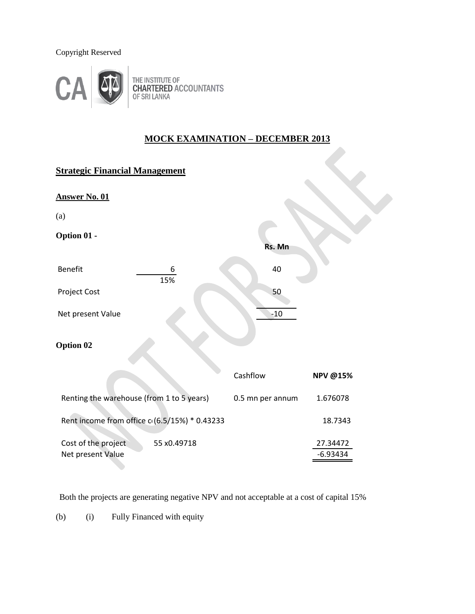## Copyright Reserved



THE INSTITUTE OF<br>CHARTERED ACCOUNTANTS<br>OF SRI LANKA

## **MOCK EXAMINATION – DECEMBER 2013**

| <b>Strategic Financial Management</b>                   |                  |                        |
|---------------------------------------------------------|------------------|------------------------|
| <b>Answer No. 01</b>                                    |                  |                        |
| (a)                                                     |                  |                        |
| Option 01 -                                             | Rs. Mn           |                        |
| <b>Benefit</b><br>6<br>15%                              | 40               |                        |
| Project Cost                                            | 50               |                        |
| Net present Value                                       | $-10$            |                        |
| Option 02                                               |                  |                        |
|                                                         | Cashflow         | <b>NPV @15%</b>        |
| Renting the warehouse (from 1 to 5 years)               | 0.5 mn per annum | 1.676078               |
| Rent income from office c (6.5/15%) * 0.43233           |                  | 18.7343                |
| Cost of the project<br>55 x0.49718<br>Net present Value |                  | 27.34472<br>$-6.93434$ |

Both the projects are generating negative NPV and not acceptable at a cost of capital 15%

(b) (i) Fully Financed with equity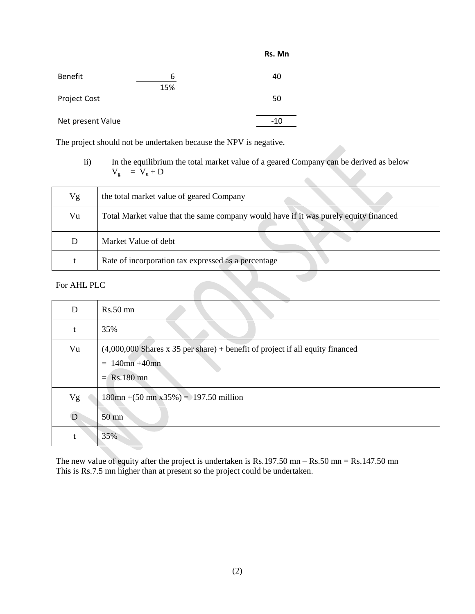| <b>Benefit</b>    | 6   | 40  |
|-------------------|-----|-----|
|                   | 15% |     |
| Project Cost      |     | 50  |
|                   |     |     |
| Net present Value |     | -10 |

The project should not be undertaken because the NPV is negative.

ii) In the equilibrium the total market value of a geared Company can be derived as below  $V_g = V_u + D$  $\bullet$ 

**Rs. Mn**

| Vg          | the total market value of geared Company                                             |
|-------------|--------------------------------------------------------------------------------------|
| Vu          | Total Market value that the same company would have if it was purely equity financed |
| D           | Market Value of debt                                                                 |
|             | Rate of incorporation tax expressed as a percentage                                  |
| For AHL PLC |                                                                                      |

| D  | $Rs.50$ mn                                                                                          |
|----|-----------------------------------------------------------------------------------------------------|
| t  | 35%                                                                                                 |
| Vu | $(4,000,000$ Shares x 35 per share) + benefit of project if all equity financed<br>$= 140$ mn +40mn |
|    | $=$ Rs.180 mn                                                                                       |
| Vg | $180 \text{mn} + (50 \text{ mn } x35\%) = 197.50 \text{ million}$                                   |
| D  | $50 \text{ mm}$                                                                                     |
| t  | 35%                                                                                                 |

The new value of equity after the project is undertaken is  $Rs.197.50$  mn –  $Rs.50$  mn =  $Rs.147.50$  mn This is Rs.7.5 mn higher than at present so the project could be undertaken.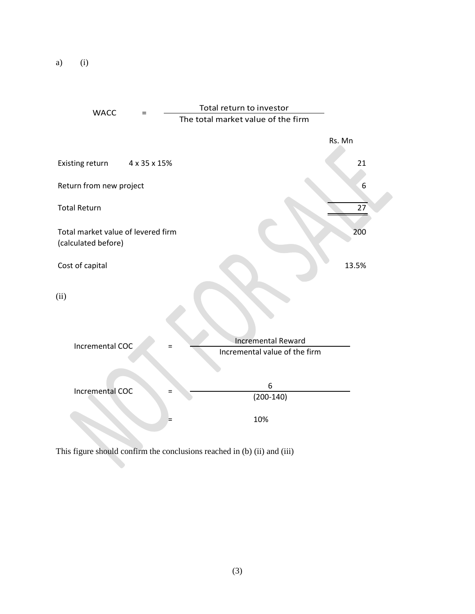a) (i)



This figure should confirm the conclusions reached in (b) (ii) and (iii)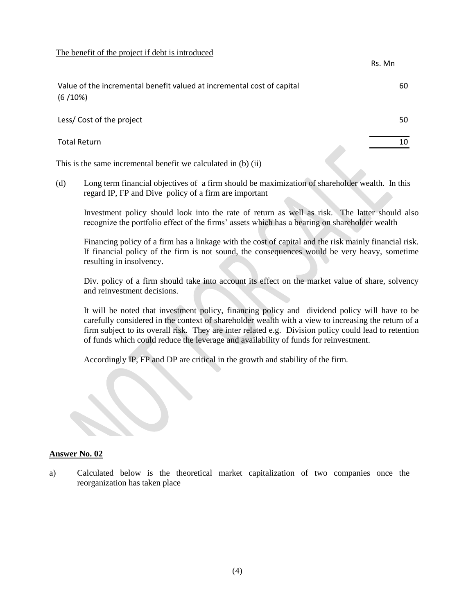The benefit of the project if debt is introduced

This is the same incremental benefit we calculated in (b) (ii)

Rs. Mn Value of the incremental benefit valued at incremental cost of capital 60 (6 /10%) Less/ Cost of the project 50 Total Return 10

(d) Long term financial objectives of a firm should be maximization of shareholder wealth. In this regard IP, FP and Dive policy of a firm are important

Investment policy should look into the rate of return as well as risk. The latter should also recognize the portfolio effect of the firms' assets which has a bearing on shareholder wealth

Financing policy of a firm has a linkage with the cost of capital and the risk mainly financial risk. If financial policy of the firm is not sound, the consequences would be very heavy, sometime resulting in insolvency.

Div. policy of a firm should take into account its effect on the market value of share, solvency and reinvestment decisions.

It will be noted that investment policy, financing policy and dividend policy will have to be carefully considered in the context of shareholder wealth with a view to increasing the return of a firm subject to its overall risk. They are inter related e.g. Division policy could lead to retention of funds which could reduce the leverage and availability of funds for reinvestment.

Accordingly IP, FP and DP are critical in the growth and stability of the firm.

#### **Answer No. 02**

a) Calculated below is the theoretical market capitalization of two companies once the reorganization has taken place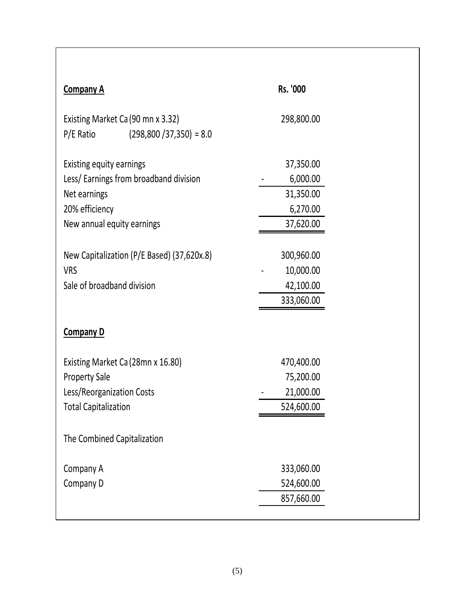| <b>Company A</b>                                                               | Rs. '000   |
|--------------------------------------------------------------------------------|------------|
| Existing Market Ca (90 mn x 3.32)<br>$(298,800 / 37,350) = 8.0$<br>$P/E$ Ratio | 298,800.00 |
| Existing equity earnings                                                       | 37,350.00  |
| Less/ Earnings from broadband division                                         | 6,000.00   |
| Net earnings                                                                   | 31,350.00  |
| 20% efficiency                                                                 | 6,270.00   |
| New annual equity earnings                                                     | 37,620.00  |
|                                                                                |            |
| New Capitalization (P/E Based) (37,620x.8)                                     | 300,960.00 |
| <b>VRS</b>                                                                     | 10,000.00  |
| Sale of broadband division                                                     | 42,100.00  |
|                                                                                | 333,060.00 |
| <b>Company D</b>                                                               |            |
| Existing Market Ca (28mn x 16.80)                                              | 470,400.00 |
| <b>Property Sale</b>                                                           | 75,200.00  |
| Less/Reorganization Costs                                                      | 21,000.00  |
| <b>Total Capitalization</b>                                                    | 524,600.00 |
| The Combined Capitalization                                                    |            |
| Company A                                                                      | 333,060.00 |
| Company D                                                                      | 524,600.00 |
|                                                                                | 857,660.00 |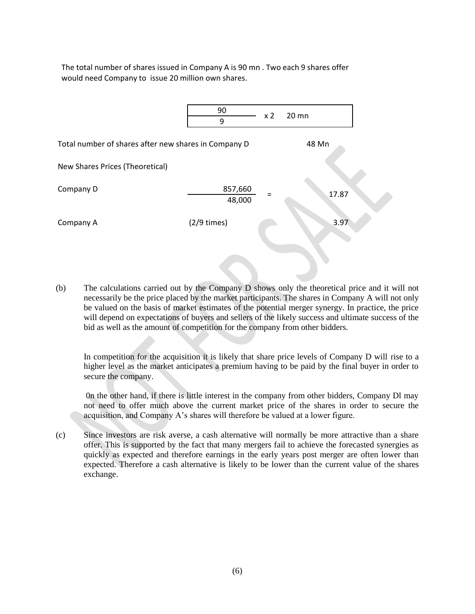The total number of shares issued in Company A is 90 mn . Two each 9 shares offer would need Company to issue 20 million own shares.



(b) The calculations carried out by the Company D shows only the theoretical price and it will not necessarily be the price placed by the market participants. The shares in Company A will not only be valued on the basis of market estimates of the potential merger synergy. In practice, the price will depend on expectations of buyers and sellers of the likely success and ultimate success of the bid as well as the amount of competition for the company from other bidders.

In competition for the acquisition it is likely that share price levels of Company D will rise to a higher level as the market anticipates a premium having to be paid by the final buyer in order to secure the company.

0n the other hand, if there is little interest in the company from other bidders, Company Dl may not need to offer much above the current market price of the shares in order to secure the acquisition, and Company A's shares will therefore be valued at a lower figure.

(c) Since investors are risk averse, a cash alternative will normally be more attractive than a share offer. This is supported by the fact that many mergers fail to achieve the forecasted synergies as quickly as expected and therefore earnings in the early years post merger are often lower than expected. Therefore a cash alternative is likely to be lower than the current value of the shares exchange.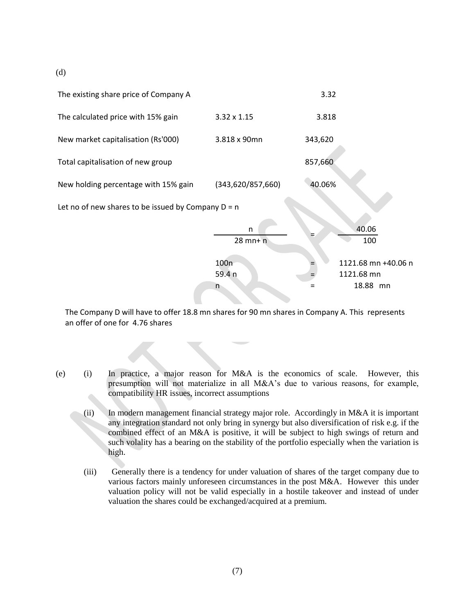(d)



The Company D will have to offer 18.8 mn shares for 90 mn shares in Company A. This represents an offer of one for 4.76 shares

- (e) (i) In practice, a major reason for M&A is the economics of scale. However, this presumption will not materialize in all M&A's due to various reasons, for example, compatibility HR issues, incorrect assumptions
	- (ii) In modern management financial strategy major role. Accordingly in M&A it is important any integration standard not only bring in synergy but also diversification of risk e.g. if the combined effect of an M&A is positive, it will be subject to high swings of return and such volality has a bearing on the stability of the portfolio especially when the variation is high.
	- (iii) Generally there is a tendency for under valuation of shares of the target company due to various factors mainly unforeseen circumstances in the post M&A. However this under valuation policy will not be valid especially in a hostile takeover and instead of under valuation the shares could be exchanged/acquired at a premium.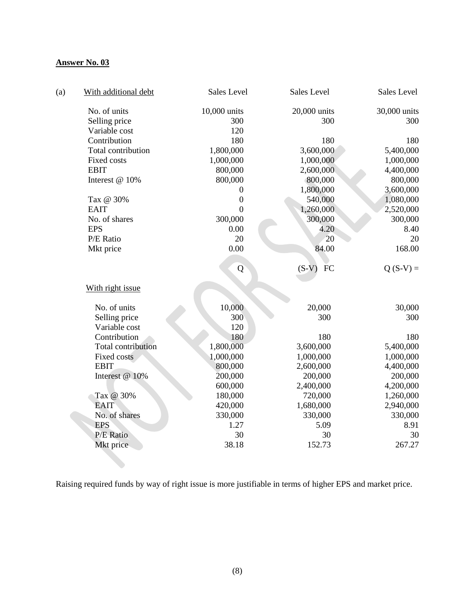## **Answer No. 03**

| (a) | With additional debt      | Sales Level      | Sales Level   | Sales Level  |
|-----|---------------------------|------------------|---------------|--------------|
|     | No. of units              | 10,000 units     | 20,000 units  | 30,000 units |
|     | Selling price             | 300              | 300           | 300          |
|     | Variable cost             | 120              |               |              |
|     | Contribution              | 180              | 180           | 180          |
|     | Total contribution        | 1,800,000        | 3,600,000     | 5,400,000    |
|     | Fixed costs               | 1,000,000        | 1,000,000     | 1,000,000    |
|     | <b>EBIT</b>               | 800,000          | 2,600,000     | 4,400,000    |
|     | Interest @ 10%            | 800,000          | 800,000       | 800,000      |
|     |                           | 0                | 1,800,000     | 3,600,000    |
|     | Tax @ 30%                 | $\boldsymbol{0}$ | 540,000       | 1,080,000    |
|     | <b>EAIT</b>               | $\overline{0}$   | 1,260,000     | 2,520,000    |
|     | No. of shares             | 300,000          | 300,000       | 300,000      |
|     | <b>EPS</b>                | 0.00             | 4.20          | 8.40         |
|     | P/E Ratio                 | 20               | 20            | 20           |
|     | Mkt price                 | 0.00             | 84.00         | 168.00       |
|     |                           | Q                | $(S-V)$<br>FC | $Q(S-V) =$   |
|     |                           |                  |               |              |
|     | With right issue          |                  |               |              |
|     | No. of units              | 10,000           | 20,000        | 30,000       |
|     | Selling price             | 300              | 300           | 300          |
|     | Variable cost             | 120              |               |              |
|     | Contribution              | 180              | 180           | 180          |
|     | <b>Total contribution</b> | 1,800,000        | 3,600,000     | 5,400,000    |
|     | Fixed costs               | 1,000,000        | 1,000,000     | 1,000,000    |
|     | <b>EBIT</b>               | 800,000          | 2,600,000     | 4,400,000    |
|     | Interest @ 10%            | 200,000          | 200,000       | 200,000      |
|     |                           | 600,000          | 2,400,000     | 4,200,000    |
|     | Tax @ 30%                 | 180,000          | 720,000       | 1,260,000    |
|     | <b>EAIT</b>               | 420,000          | 1,680,000     | 2,940,000    |
|     | No. of shares             | 330,000          | 330,000       | 330,000      |
|     | <b>EPS</b>                | 1.27             | 5.09          | 8.91         |
|     | P/E Ratio                 | 30               | 30            | 30           |
|     | Mkt price                 | 38.18            | 152.73        | 267.27       |

Raising required funds by way of right issue is more justifiable in terms of higher EPS and market price.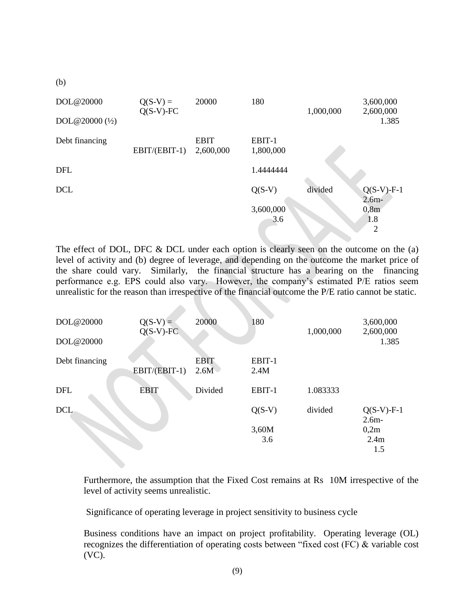| DOL@20000                               | $Q(S-V) =$<br>$Q(S-V)$ -FC | 20000                    | 180                 | 1,000,000 | 3,600,000<br>2,600,000        |
|-----------------------------------------|----------------------------|--------------------------|---------------------|-----------|-------------------------------|
| DOL $@20000$ $\left(\frac{1}{2}\right)$ |                            |                          |                     |           | 1.385                         |
| Debt financing                          | EBIT/(EBIT-1)              | <b>EBIT</b><br>2,600,000 | EBIT-1<br>1,800,000 |           |                               |
| <b>DFL</b>                              |                            |                          | 1.4444444           |           |                               |
| <b>DCL</b>                              |                            |                          | $Q(S-V)$            | divided   | $Q(S-V)$ -F-1<br>$2.6m -$     |
|                                         |                            |                          | 3,600,000<br>3.6    |           | 0,8m<br>1.8<br>$\overline{2}$ |

The effect of DOL, DFC & DCL under each option is clearly seen on the outcome on the (a) level of activity and (b) degree of leverage, and depending on the outcome the market price of the share could vary. Similarly, the financial structure has a bearing on the financing performance e.g. EPS could also vary. However, the company's estimated P/E ratios seem unrealistic for the reason than irrespective of the financial outcome the P/E ratio cannot be static.

| DOL@20000      | $Q(S-V) =$<br>$Q(S-V)$ -FC | 20000               | 180            | 1,000,000 | 3,600,000<br>2,600,000   |
|----------------|----------------------------|---------------------|----------------|-----------|--------------------------|
| DOL@20000      |                            |                     |                |           | 1.385                    |
| Debt financing | EBIT/(EBIT-1)              | <b>EBIT</b><br>2.6M | EBIT-1<br>2.4M |           |                          |
| <b>DFL</b>     | <b>EBIT</b>                | Divided             | EBIT-1         | 1.083333  |                          |
| <b>DCL</b>     |                            |                     | $Q(S-V)$       | divided   | $Q(S-V)$ -F-1<br>$2.6m-$ |
|                |                            |                     | 3,60M          |           | 0,2m                     |
|                |                            |                     | 3.6            |           | 2.4m                     |
|                |                            |                     |                |           | 1.5                      |

Furthermore, the assumption that the Fixed Cost remains at Rs 10M irrespective of the level of activity seems unrealistic.

Significance of operating leverage in project sensitivity to business cycle

Business conditions have an impact on project profitability. Operating leverage (OL) recognizes the differentiation of operating costs between "fixed cost (FC) & variable cost (VC).

(b)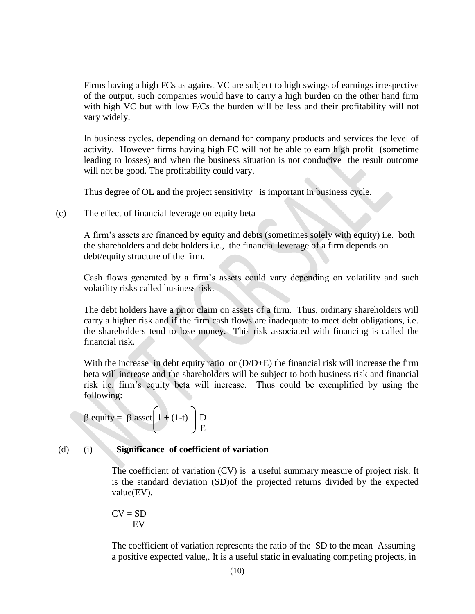Firms having a high FCs as against VC are subject to high swings of earnings irrespective of the output, such companies would have to carry a high burden on the other hand firm with high VC but with low F/Cs the burden will be less and their profitability will not vary widely.

In business cycles, depending on demand for company products and services the level of activity. However firms having high FC will not be able to earn high profit (sometime leading to losses) and when the business situation is not conducive the result outcome will not be good. The profitability could vary.

Thus degree of OL and the project sensitivity is important in business cycle.

(c) The effect of financial leverage on equity beta

A firm's assets are financed by equity and debts (sometimes solely with equity) i.e. both the shareholders and debt holders i.e., the financial leverage of a firm depends on debt/equity structure of the firm.

Cash flows generated by a firm's assets could vary depending on volatility and such volatility risks called business risk.

The debt holders have a prior claim on assets of a firm. Thus, ordinary shareholders will carry a higher risk and if the firm cash flows are inadequate to meet debt obligations, i.e. the shareholders tend to lose money. This risk associated with financing is called the financial risk.

With the increase in debt equity ratio or  $(D/D+E)$  the financial risk will increase the firm beta will increase and the shareholders will be subject to both business risk and financial risk i.e. firm's equity beta will increase. Thus could be exemplified by using the following:

$$
\beta \text{ equity} = \beta \text{ asset} \left( 1 + (1-t) \right) \frac{D}{E}
$$

#### (d) (i) **Significance of coefficient of variation**

The coefficient of variation (CV) is a useful summary measure of project risk. It is the standard deviation (SD)of the projected returns divided by the expected value(EV).

$$
CV = \frac{SD}{EV}
$$

The coefficient of variation represents the ratio of the SD to the mean Assuming a positive expected value,. It is a useful static in evaluating competing projects, in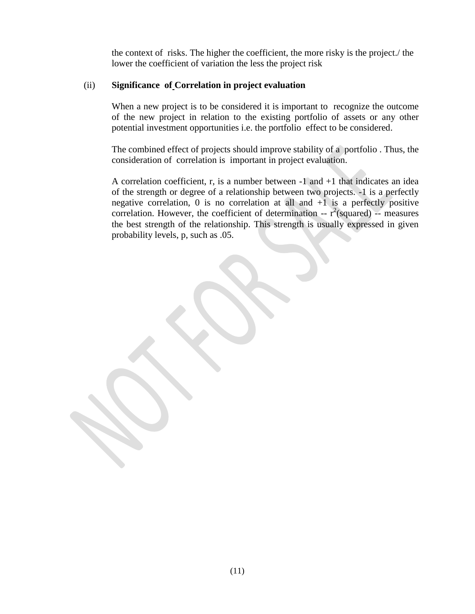the context of risks. The higher the coefficient, the more risky is the project./ the lower the coefficient of variation the less the project risk

#### (ii) **Significance of Correlation in project evaluation**

When a new project is to be considered it is important to recognize the outcome of the new project in relation to the existing portfolio of assets or any other potential investment opportunities i.e. the portfolio effect to be considered.

The combined effect of projects should improve stability of a portfolio . Thus, the consideration of correlation is important in project evaluation.

A correlation coefficient, r, is a number between -1 and +1 that indicates an idea of the strength or degree of a relationship between two projects. -1 is a perfectly negative correlation,  $0$  is no correlation at all and  $+1$  is a perfectly positive correlation. However, the coefficient of determination --  $r^2$ (squared) -- measures the best strength of the relationship. This strength is usually expressed in given probability levels, p, such as .05.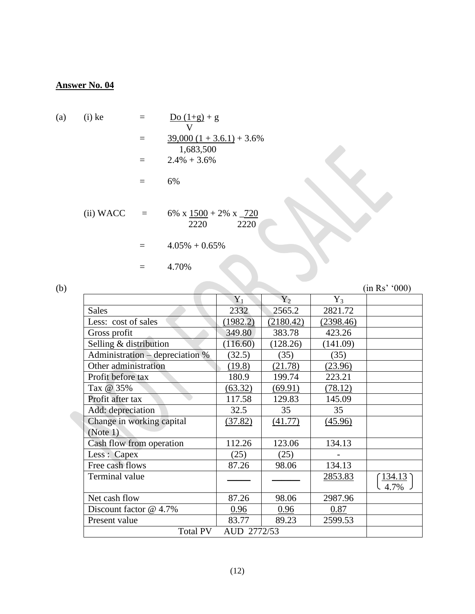# **Answer No. 04**

(a) (i) ke 
$$
= \frac{Do(1+g) + g}{V}
$$

$$
= \frac{39,000 (1 + 3.6.1) + 3.6\%}{1,683,500}
$$

$$
= 2.4\% + 3.6\%
$$

$$
= 6\%
$$
(ii) WACC 
$$
= 6\% \times \frac{1500}{2220} + 2\% \times \frac{720}{2220}
$$

$$
= 4.05\% + 0.65\%
$$

$$
= 4.70\%
$$

| (b) |                                 |             |           |           | (in Rs' '000) |
|-----|---------------------------------|-------------|-----------|-----------|---------------|
|     |                                 | $Y_1$       | $Y_2$     | $Y_3$     |               |
|     | <b>Sales</b>                    | 2332        | 2565.2    | 2821.72   |               |
|     | Less: cost of sales             | (1982.2)    | (2180.42) | (2398.46) |               |
|     | Gross profit                    | 349.80      | 383.78    | 423.26    |               |
|     | Selling & distribution          | (116.60)    | (128.26)  | (141.09)  |               |
|     | Administration - depreciation % | (32.5)      | (35)      | (35)      |               |
|     | Other administration            | (19.8)      | (21.78)   | (23.96)   |               |
|     | Profit before tax               | 180.9       | 199.74    | 223.21    |               |
|     | Tax @ 35%                       | (63.32)     | (69.91)   | (78.12)   |               |
|     | Profit after tax                | 117.58      | 129.83    | 145.09    |               |
|     | Add: depreciation               | 32.5        | 35        | 35        |               |
|     | Change in working capital       | (37.82)     | (41.77)   | (45.96)   |               |
|     | (Note 1)                        |             |           |           |               |
|     | Cash flow from operation        | 112.26      | 123.06    | 134.13    |               |
|     | Less : Capex                    | (25)        | (25)      |           |               |
|     | Free cash flows                 | 87.26       | 98.06     | 134.13    |               |
|     | Terminal value                  |             |           | 2853.83   | <u>134.13</u> |
|     |                                 |             |           |           | 4.7%          |
|     | Net cash flow                   | 87.26       | 98.06     | 2987.96   |               |
|     | Discount factor @ 4.7%          | 0.96        | 0.96      | 0.87      |               |
|     | Present value                   | 83.77       | 89.23     | 2599.53   |               |
|     | <b>Total PV</b>                 | AUD 2772/53 |           |           |               |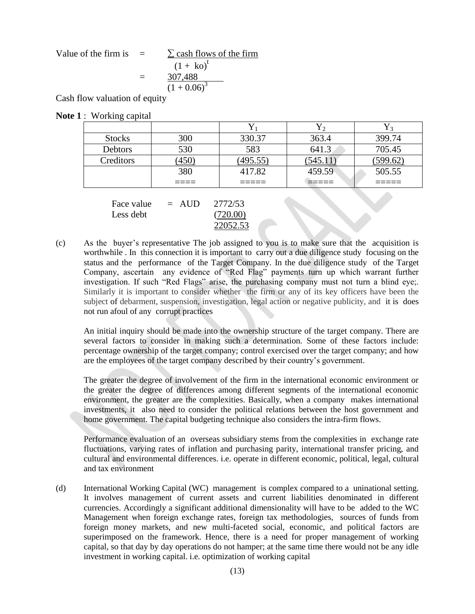Value of the firm is 
$$
= \frac{\sum \text{ cash flows of the firm}}{(1 + \text{ko})^t}
$$

$$
= \frac{307,488}{(1 + 0.06)^3}
$$

Cash flow valuation of equity

|  |  |  | <b>Note 1:</b> Working capital |  |
|--|--|--|--------------------------------|--|
|--|--|--|--------------------------------|--|

| <b>Stocks</b> | 300        | 330.37   | 363.4          | 399.74   |
|---------------|------------|----------|----------------|----------|
| Debtors       | 530        | 583      | 641.3          | 705.45   |
| Creditors     | <u>450</u> | (495.55) | <u>(545.11</u> | (599.62) |
|               | 380        | 417.82   | 459.59         | 505.55   |
|               |            |          |                |          |

| Face value | $=$ AUD | 2772/53  |
|------------|---------|----------|
| Less debt  |         | (720.00) |
|            |         | 22052.53 |

(c) As the buyer's representative The job assigned to you is to make sure that the acquisition is worthwhile . In this connection it is important to carry out a due diligence study focusing on the status and the performance of the Target Company. In the due diligence study of the Target Company, ascertain any evidence of "Red Flag" payments turn up which warrant further investigation. If such "Red Flags" arise, the purchasing company must not turn a blind eye;. Similarly it is important to consider whether the firm or any of its key officers have been the subject of debarment, suspension, investigation, legal action or negative publicity, and it is does not run afoul of any corrupt practices

An initial inquiry should be made into the ownership structure of the target company. There are several factors to consider in making such a determination. Some of these factors include: percentage ownership of the target company; control exercised over the target company; and how are the employees of the target company described by their country's government.

The greater the degree of involvement of the firm in the international economic environment or the greater the degree of differences among different segments of the international economic environment, the greater are the complexities. Basically, when a company makes international investments, it also need to consider the political relations between the host government and home government. The capital budgeting technique also considers the intra-firm flows.

Performance evaluation of an overseas subsidiary stems from the complexities in exchange rate fluctuations, varying rates of inflation and purchasing parity, international transfer pricing, and cultural and environmental differences. i.e. operate in different economic, political, legal, cultural and tax environment

(d) International Working Capital (WC) management is complex compared to a uninational setting. It involves management of current assets and current liabilities denominated in different currencies. Accordingly a significant additional dimensionality will have to be added to the WC Management when foreign exchange rates, foreign tax methodologies, sources of funds from foreign money markets, and new multi-faceted social, economic, and political factors are superimposed on the framework. Hence, there is a need for proper management of working capital, so that day by day operations do not hamper; at the same time there would not be any idle investment in working capital. i.e. optimization of working capital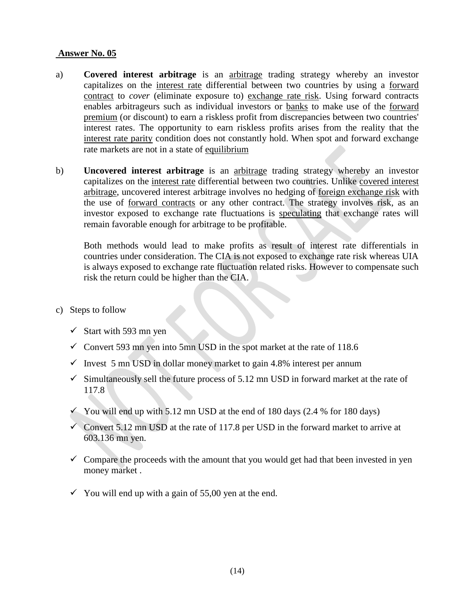### **Answer No. 05**

- a) **Covered interest arbitrage** is an [arbitrage](http://en.wikipedia.org/wiki/Arbitrage) trading strategy whereby an investor capitalizes on the [interest rate](http://en.wikipedia.org/wiki/Interest_rate) differential between two countries by using a [forward](http://en.wikipedia.org/wiki/Forward_contract)  [contract](http://en.wikipedia.org/wiki/Forward_contract) to *cover* (eliminate exposure to) [exchange rate risk.](http://en.wikipedia.org/wiki/Foreign_exchange_risk) Using forward contracts enables arbitrageurs such as individual investors or [banks](http://en.wikipedia.org/wiki/Bank) to make use of the [forward](http://en.wikipedia.org/wiki/Forward_contract#Forward_premium_or_discount)  [premium](http://en.wikipedia.org/wiki/Forward_contract#Forward_premium_or_discount) (or discount) to earn a riskless profit from discrepancies between two countries' interest rates. The opportunity to earn riskless profits arises from the reality that the [interest rate parity](http://en.wikipedia.org/wiki/Interest_rate_parity) condition does not constantly hold. When spot and forward exchange rate markets are not in a state of [equilibrium](http://en.wikipedia.org/wiki/Economic_equilibrium)
- b) **Uncovered interest arbitrage** is an [arbitrage](http://en.wikipedia.org/wiki/Arbitrage) trading strategy whereby an investor capitalizes on the [interest rate](http://en.wikipedia.org/wiki/Interest_rate) differential between two countries. Unlike [covered interest](http://en.wikipedia.org/wiki/Covered_interest_arbitrage)  [arbitrage,](http://en.wikipedia.org/wiki/Covered_interest_arbitrage) uncovered interest arbitrage involves no hedging of [foreign exchange risk](http://en.wikipedia.org/wiki/Foreign_exchange_risk) with the use of [forward contracts](http://en.wikipedia.org/wiki/Forward_contract) or any other contract. The strategy involves risk, as an investor exposed to exchange rate fluctuations is [speculating](http://en.wikipedia.org/wiki/Speculation) that exchange rates will remain favorable enough for arbitrage to be profitable.

Both methods would lead to make profits as result of interest rate differentials in countries under consideration. The CIA is not exposed to exchange rate risk whereas UIA is always exposed to exchange rate fluctuation related risks. However to compensate such risk the return could be higher than the CIA.

- c) Steps to follow
	- $\checkmark$  Start with 593 mn yen
	- Convert 593 mn yen into 5mn USD in the spot market at the rate of  $118.6$
	- $\checkmark$  Invest 5 mn USD in dollar money market to gain 4.8% interest per annum
	- $\checkmark$  Simultaneously sell the future process of 5.12 mn USD in forward market at the rate of 117.8
	- Y You will end up with 5.12 mn USD at the end of 180 days  $(2.4 %$  for 180 days)
	- Convert 5.12 mn USD at the rate of 117.8 per USD in the forward market to arrive at 603.136 mn yen.
	- $\checkmark$  Compare the proceeds with the amount that you would get had that been invested in yen money market .
	- $\checkmark$  You will end up with a gain of 55,00 yen at the end.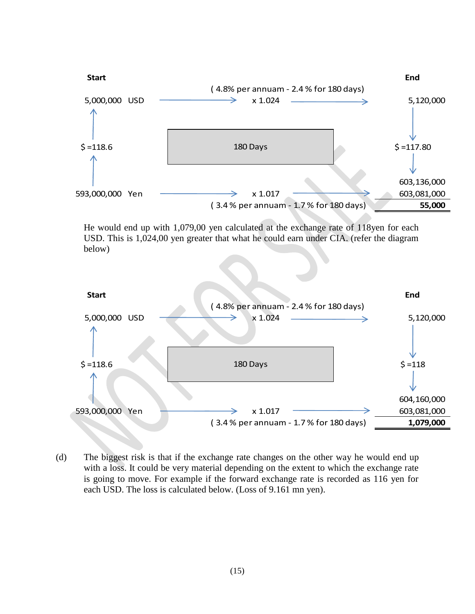

He would end up with 1,079,00 yen calculated at the exchange rate of 118yen for each USD. This is 1,024,00 yen greater that what he could earn under CIA. (refer the diagram below)



(d) The biggest risk is that if the exchange rate changes on the other way he would end up with a loss. It could be very material depending on the extent to which the exchange rate is going to move. For example if the forward exchange rate is recorded as 116 yen for each USD. The loss is calculated below. (Loss of 9.161 mn yen).